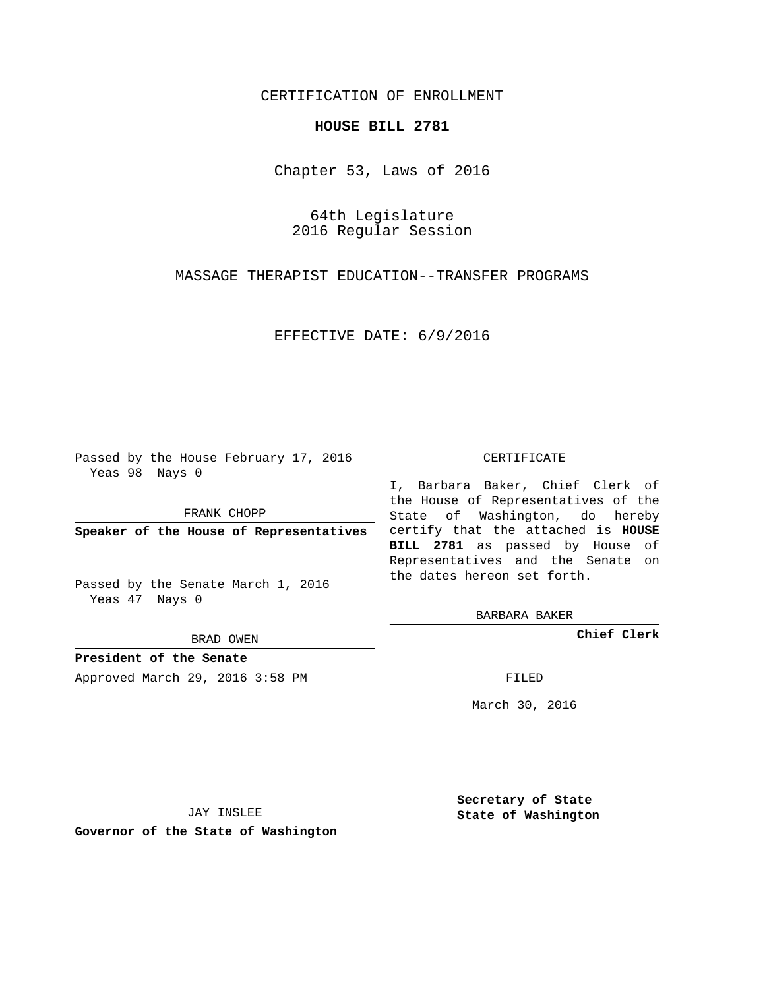## CERTIFICATION OF ENROLLMENT

## **HOUSE BILL 2781**

Chapter 53, Laws of 2016

64th Legislature 2016 Regular Session

MASSAGE THERAPIST EDUCATION--TRANSFER PROGRAMS

EFFECTIVE DATE: 6/9/2016

Passed by the House February 17, 2016 Yeas 98 Nays 0

FRANK CHOPP

Passed by the Senate March 1, 2016 Yeas 47 Nays 0

BRAD OWEN

**President of the Senate**

Approved March 29, 2016 3:58 PM FILED

## CERTIFICATE

**Speaker of the House of Representatives** certify that the attached is **HOUSE** I, Barbara Baker, Chief Clerk of the House of Representatives of the State of Washington, do hereby **BILL 2781** as passed by House of Representatives and the Senate on the dates hereon set forth.

BARBARA BAKER

**Chief Clerk**

March 30, 2016

JAY INSLEE

**Governor of the State of Washington**

**Secretary of State State of Washington**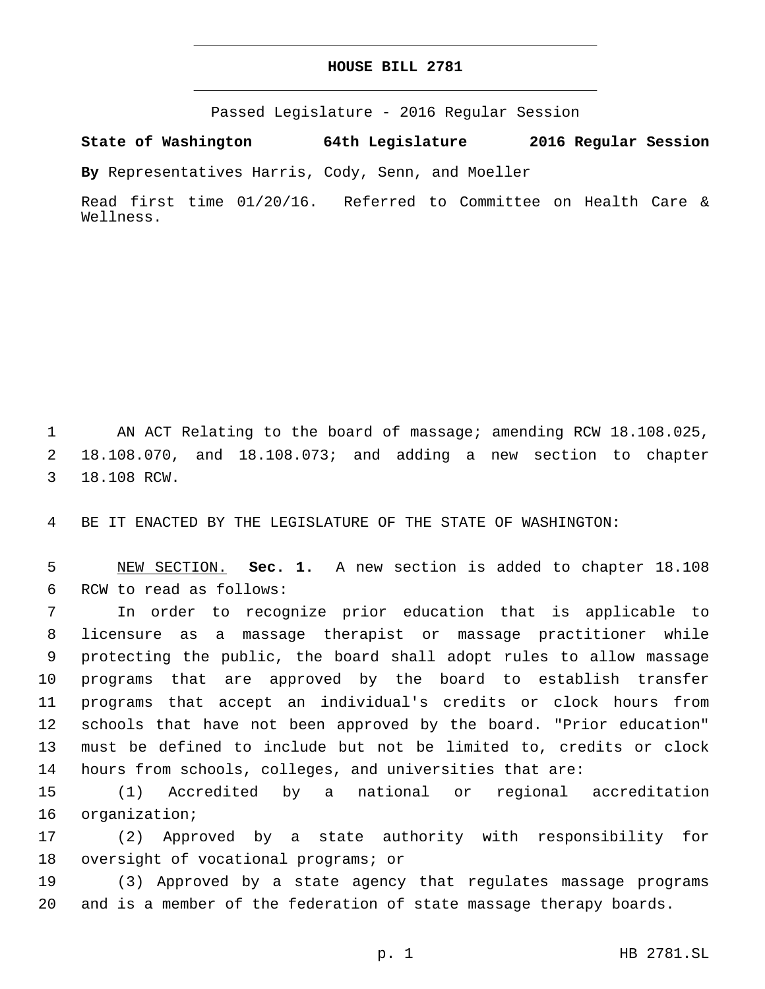## **HOUSE BILL 2781**

Passed Legislature - 2016 Regular Session

**State of Washington 64th Legislature 2016 Regular Session**

**By** Representatives Harris, Cody, Senn, and Moeller

Read first time 01/20/16. Referred to Committee on Health Care & Wellness.

1 AN ACT Relating to the board of massage; amending RCW 18.108.025, 2 18.108.070, and 18.108.073; and adding a new section to chapter 3 18.108 RCW.

4 BE IT ENACTED BY THE LEGISLATURE OF THE STATE OF WASHINGTON:

5 NEW SECTION. **Sec. 1.** A new section is added to chapter 18.108 6 RCW to read as follows:

 In order to recognize prior education that is applicable to licensure as a massage therapist or massage practitioner while protecting the public, the board shall adopt rules to allow massage programs that are approved by the board to establish transfer programs that accept an individual's credits or clock hours from schools that have not been approved by the board. "Prior education" must be defined to include but not be limited to, credits or clock hours from schools, colleges, and universities that are:

15 (1) Accredited by a national or regional accreditation 16 organization;

17 (2) Approved by a state authority with responsibility for 18 oversight of vocational programs; or

19 (3) Approved by a state agency that regulates massage programs 20 and is a member of the federation of state massage therapy boards.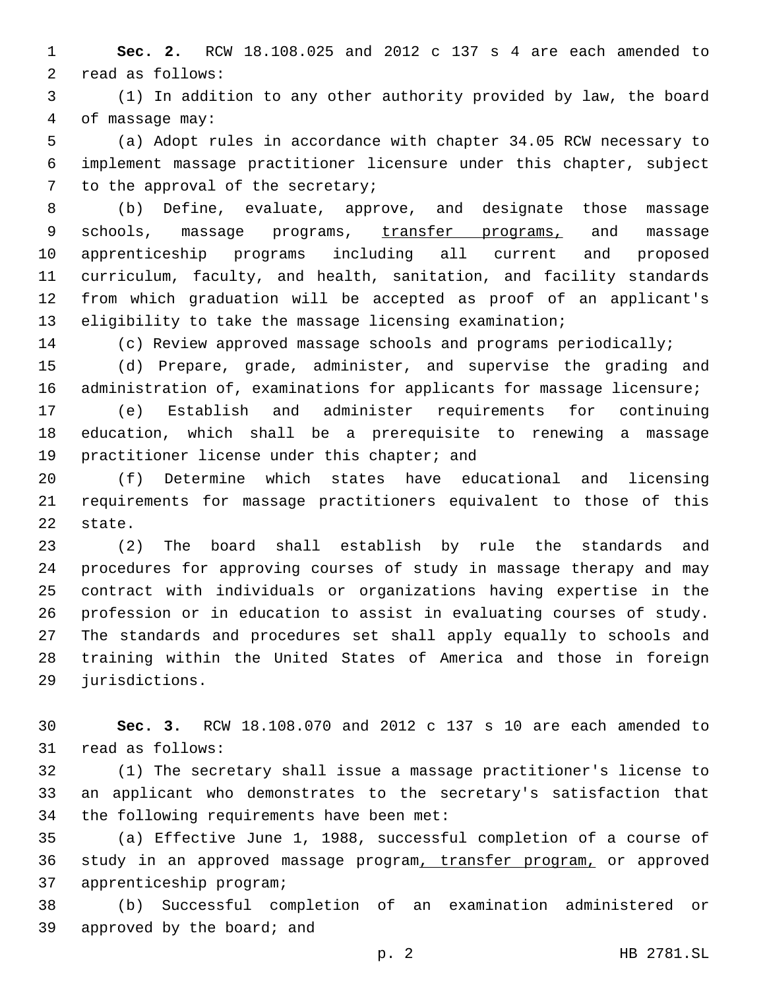**Sec. 2.** RCW 18.108.025 and 2012 c 137 s 4 are each amended to 2 read as follows:

 (1) In addition to any other authority provided by law, the board 4 of massage may:

 (a) Adopt rules in accordance with chapter 34.05 RCW necessary to implement massage practitioner licensure under this chapter, subject 7 to the approval of the secretary;

 (b) Define, evaluate, approve, and designate those massage 9 schools, massage programs, transfer programs, and massage apprenticeship programs including all current and proposed curriculum, faculty, and health, sanitation, and facility standards from which graduation will be accepted as proof of an applicant's eligibility to take the massage licensing examination;

(c) Review approved massage schools and programs periodically;

 (d) Prepare, grade, administer, and supervise the grading and 16 administration of, examinations for applicants for massage licensure;

 (e) Establish and administer requirements for continuing education, which shall be a prerequisite to renewing a massage 19 practitioner license under this chapter; and

 (f) Determine which states have educational and licensing requirements for massage practitioners equivalent to those of this 22 state.

 (2) The board shall establish by rule the standards and procedures for approving courses of study in massage therapy and may contract with individuals or organizations having expertise in the profession or in education to assist in evaluating courses of study. The standards and procedures set shall apply equally to schools and training within the United States of America and those in foreign 29 jurisdictions.

 **Sec. 3.** RCW 18.108.070 and 2012 c 137 s 10 are each amended to 31 read as follows:

 (1) The secretary shall issue a massage practitioner's license to an applicant who demonstrates to the secretary's satisfaction that 34 the following requirements have been met:

 (a) Effective June 1, 1988, successful completion of a course of study in an approved massage program, transfer program, or approved 37 apprenticeship program;

 (b) Successful completion of an examination administered or 39 approved by the board; and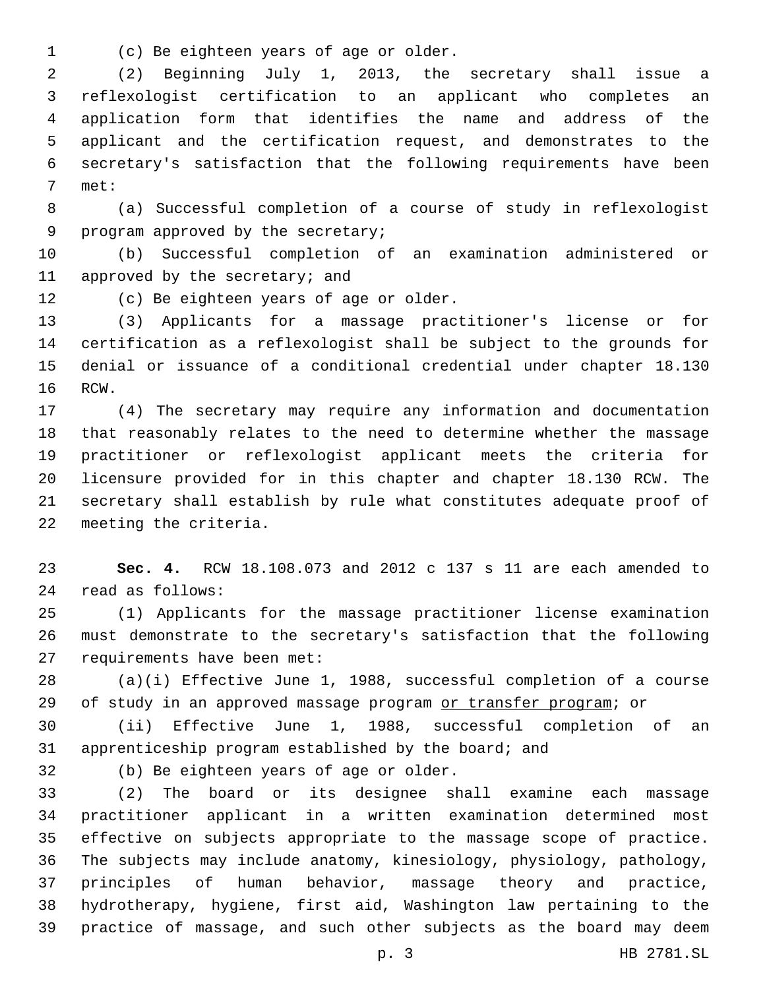(c) Be eighteen years of age or older.1

 (2) Beginning July 1, 2013, the secretary shall issue a reflexologist certification to an applicant who completes an application form that identifies the name and address of the applicant and the certification request, and demonstrates to the secretary's satisfaction that the following requirements have been 7 met:

 (a) Successful completion of a course of study in reflexologist 9 program approved by the secretary;

 (b) Successful completion of an examination administered or 11 approved by the secretary; and

12 (c) Be eighteen years of age or older.

 (3) Applicants for a massage practitioner's license or for certification as a reflexologist shall be subject to the grounds for denial or issuance of a conditional credential under chapter 18.130 16 RCW.

 (4) The secretary may require any information and documentation that reasonably relates to the need to determine whether the massage practitioner or reflexologist applicant meets the criteria for licensure provided for in this chapter and chapter 18.130 RCW. The secretary shall establish by rule what constitutes adequate proof of 22 meeting the criteria.

 **Sec. 4.** RCW 18.108.073 and 2012 c 137 s 11 are each amended to read as follows:24

 (1) Applicants for the massage practitioner license examination must demonstrate to the secretary's satisfaction that the following 27 requirements have been met:

 (a)(i) Effective June 1, 1988, successful completion of a course 29 of study in an approved massage program or transfer program; or

 (ii) Effective June 1, 1988, successful completion of an apprenticeship program established by the board; and

32 (b) Be eighteen years of age or older.

 (2) The board or its designee shall examine each massage practitioner applicant in a written examination determined most effective on subjects appropriate to the massage scope of practice. The subjects may include anatomy, kinesiology, physiology, pathology, principles of human behavior, massage theory and practice, hydrotherapy, hygiene, first aid, Washington law pertaining to the practice of massage, and such other subjects as the board may deem

p. 3 HB 2781.SL